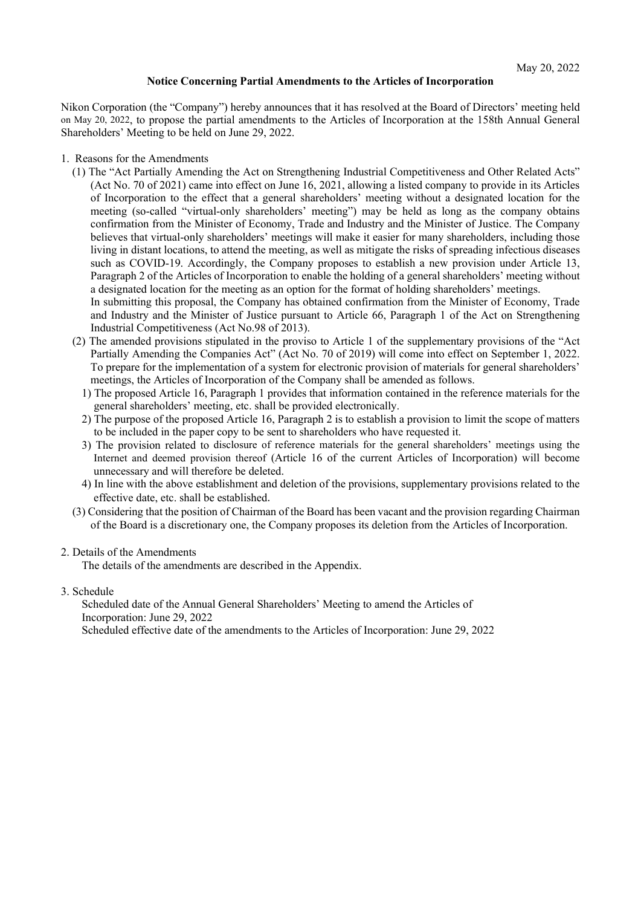## **Notice Concerning Partial Amendments to the Articles of Incorporation**

Nikon Corporation (the "Company") hereby announces that it has resolved at the Board of Directors' meeting held on May 20, 2022, to propose the partial amendments to the Articles of Incorporation at the 158th Annual General Shareholders' Meeting to be held on June 29, 2022.

- 1. Reasons for the Amendments
	- (1) The "Act Partially Amending the Act on Strengthening Industrial Competitiveness and Other Related Acts" (Act No. 70 of 2021) came into effect on June 16, 2021, allowing a listed company to provide in its Articles of Incorporation to the effect that a general shareholders' meeting without a designated location for the meeting (so-called "virtual-only shareholders' meeting") may be held as long as the company obtains confirmation from the Minister of Economy, Trade and Industry and the Minister of Justice. The Company believes that virtual-only shareholders' meetings will make it easier for many shareholders, including those living in distant locations, to attend the meeting, as well as mitigate the risks of spreading infectious diseases such as COVID-19. Accordingly, the Company proposes to establish a new provision under Article 13, Paragraph 2 of the Articles of Incorporation to enable the holding of a general shareholders' meeting without a designated location for the meeting as an option for the format of holding shareholders' meetings. In submitting this proposal, the Company has obtained confirmation from the Minister of Economy, Trade
		- and Industry and the Minister of Justice pursuant to Article 66, Paragraph 1 of the Act on Strengthening Industrial Competitiveness (Act No.98 of 2013).
	- (2) The amended provisions stipulated in the proviso to Article 1 of the supplementary provisions of the "Act Partially Amending the Companies Act" (Act No. 70 of 2019) will come into effect on September 1, 2022. To prepare for the implementation of a system for electronic provision of materials for general shareholders' meetings, the Articles of Incorporation of the Company shall be amended as follows.
		- 1) The proposed Article 16, Paragraph 1 provides that information contained in the reference materials for the general shareholders' meeting, etc. shall be provided electronically.
		- 2) The purpose of the proposed Article 16, Paragraph 2 is to establish a provision to limit the scope of matters to be included in the paper copy to be sent to shareholders who have requested it.
		- 3) The provision related to disclosure of reference materials for the general shareholders' meetings using the Internet and deemed provision thereof (Article 16 of the current Articles of Incorporation) will become unnecessary and will therefore be deleted.
		- 4) In line with the above establishment and deletion of the provisions, supplementary provisions related to the effective date, etc. shall be established.
	- (3) Considering that the position of Chairman of the Board has been vacant and the provision regarding Chairman of the Board is a discretionary one, the Company proposes its deletion from the Articles of Incorporation.

## 2. Details of the Amendments

The details of the amendments are described in the Appendix.

3. Schedule

Scheduled date of the Annual General Shareholders' Meeting to amend the Articles of Incorporation: June 29, 2022

Scheduled effective date of the amendments to the Articles of Incorporation: June 29, 2022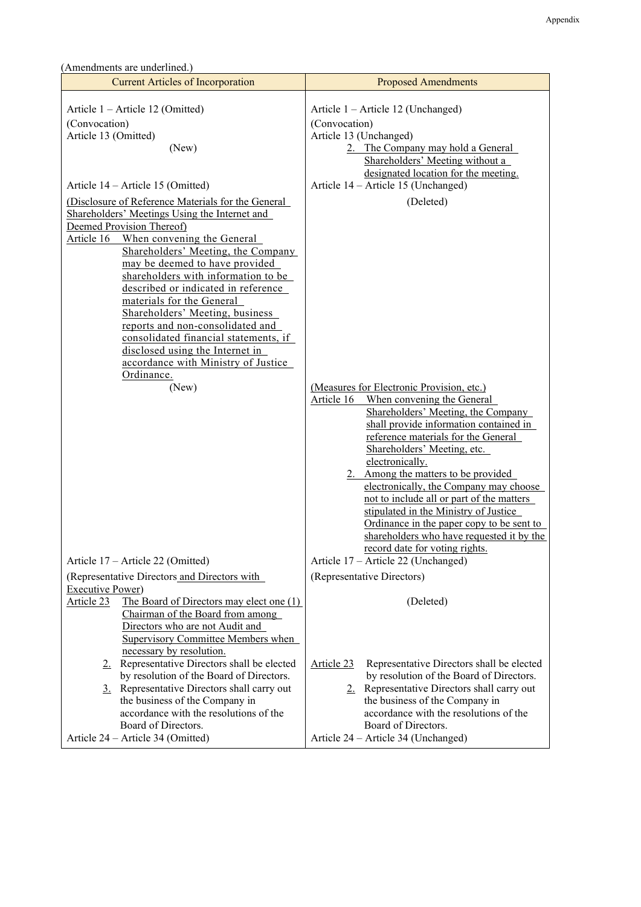| (Amendments are underlined.)                                                                                                                                                                                                                                                                                                                                                                                                                                                                                                                           |                                                                                                                                                                                                                                                                                                                                                                                                                                                                                                                                                                   |
|--------------------------------------------------------------------------------------------------------------------------------------------------------------------------------------------------------------------------------------------------------------------------------------------------------------------------------------------------------------------------------------------------------------------------------------------------------------------------------------------------------------------------------------------------------|-------------------------------------------------------------------------------------------------------------------------------------------------------------------------------------------------------------------------------------------------------------------------------------------------------------------------------------------------------------------------------------------------------------------------------------------------------------------------------------------------------------------------------------------------------------------|
| <b>Current Articles of Incorporation</b>                                                                                                                                                                                                                                                                                                                                                                                                                                                                                                               | <b>Proposed Amendments</b>                                                                                                                                                                                                                                                                                                                                                                                                                                                                                                                                        |
| Article 1 – Article 12 (Omitted)<br>(Convocation)<br>Article 13 (Omitted)<br>(New)                                                                                                                                                                                                                                                                                                                                                                                                                                                                     | Article 1 – Article 12 (Unchanged)<br>(Convocation)<br>Article 13 (Unchanged)<br>2. The Company may hold a General<br>Shareholders' Meeting without a<br>designated location for the meeting.                                                                                                                                                                                                                                                                                                                                                                     |
| Article 14 – Article 15 (Omitted)                                                                                                                                                                                                                                                                                                                                                                                                                                                                                                                      | Article 14 – Article 15 (Unchanged)                                                                                                                                                                                                                                                                                                                                                                                                                                                                                                                               |
| (Disclosure of Reference Materials for the General<br>Shareholders' Meetings Using the Internet and<br>Deemed Provision Thereof)<br>Article 16 When convening the General<br>Shareholders' Meeting, the Company<br>may be deemed to have provided<br>shareholders with information to be<br>described or indicated in reference<br>materials for the General<br>Shareholders' Meeting, business<br>reports and non-consolidated and<br>consolidated financial statements, if<br>disclosed using the Internet in<br>accordance with Ministry of Justice | (Deleted)                                                                                                                                                                                                                                                                                                                                                                                                                                                                                                                                                         |
| Ordinance.<br>(New)                                                                                                                                                                                                                                                                                                                                                                                                                                                                                                                                    | (Measures for Electronic Provision, etc.)<br>Article 16<br>When convening the General<br>Shareholders' Meeting, the Company<br>shall provide information contained in<br>reference materials for the General<br>Shareholders' Meeting, etc.<br>electronically.<br>2. Among the matters to be provided<br>electronically, the Company may choose<br>not to include all or part of the matters<br>stipulated in the Ministry of Justice<br>Ordinance in the paper copy to be sent to<br>shareholders who have requested it by the<br>record date for voting rights. |
| Article 17 - Article 22 (Omitted)                                                                                                                                                                                                                                                                                                                                                                                                                                                                                                                      | Article 17 - Article 22 (Unchanged)                                                                                                                                                                                                                                                                                                                                                                                                                                                                                                                               |
| (Representative Directors and Directors with<br><b>Executive Power)</b><br>Article 23<br>The Board of Directors may elect one (1)<br>Chairman of the Board from among<br>Directors who are not Audit and<br><b>Supervisory Committee Members when</b><br>necessary by resolution.                                                                                                                                                                                                                                                                      | (Representative Directors)<br>(Deleted)                                                                                                                                                                                                                                                                                                                                                                                                                                                                                                                           |
| 2. Representative Directors shall be elected<br>by resolution of the Board of Directors.<br>3. Representative Directors shall carry out<br>the business of the Company in<br>accordance with the resolutions of the<br>Board of Directors.<br>Article 24 – Article 34 (Omitted)                                                                                                                                                                                                                                                                        | Article 23<br>Representative Directors shall be elected<br>by resolution of the Board of Directors.<br>2. Representative Directors shall carry out<br>the business of the Company in<br>accordance with the resolutions of the<br>Board of Directors.<br>Article 24 – Article 34 (Unchanged)                                                                                                                                                                                                                                                                      |